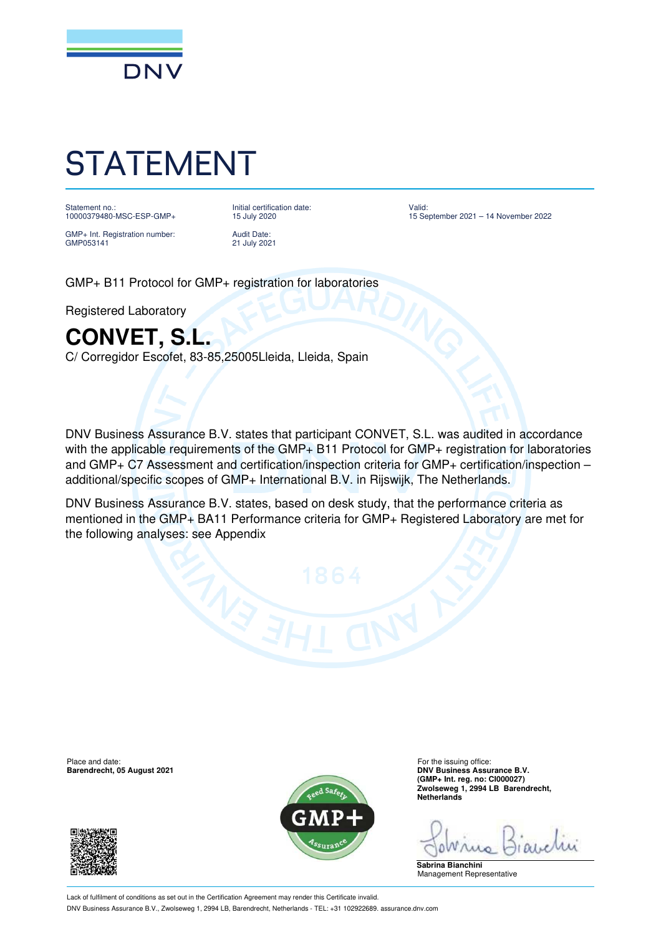

## STATEMENT

Statement no.: 10000379480-MSC-ESP-GMP+ Initial certification date: 15 July 2020

GMP+ Int. Registration number: GMP053141

Audit Date: 21 July 2021 Valid: 15 September 2021 – 14 November 2022

GMP+ B11 Protocol for GMP+ registration for laboratories

Registered Laboratory

## **CONVET, S.L.**

C/ Corregidor Escofet, 83-85,25005Lleida, Lleida, Spain

DNV Business Assurance B.V. states that participant CONVET, S.L. was audited in accordance with the applicable requirements of the GMP+ B11 Protocol for GMP+ registration for laboratories and GMP+ C7 Assessment and certification/inspection criteria for GMP+ certification/inspection – additional/specific scopes of GMP+ International B.V. in Rijswijk, The Netherlands.

DNV Business Assurance B.V. states, based on desk study, that the performance criteria as mentioned in the GMP+ BA11 Performance criteria for GMP+ Registered Laboratory are met for the following analyses: see Appendix

**Barendrecht, 05 August 2021** 





Place and date: The issuing office:<br> **Barendrecht, 05 August 2021 Contract of the issuing office:** For the issuing office:<br> **Barendrecht, 05 August 2021 (GMP+ Int. reg. no: CI000027) Zwolseweg 1, 2994 LB Barendrecht, Netherlands**

**Sabrina Bianchini** Management Representative

Lack of fulfilment of conditions as set out in the Certification Agreement may render this Certificate invalid. DNV Business Assurance B.V., Zwolseweg 1, 2994 LB, Barendrecht, Netherlands - TEL: +31 102922689. assurance.dnv.com